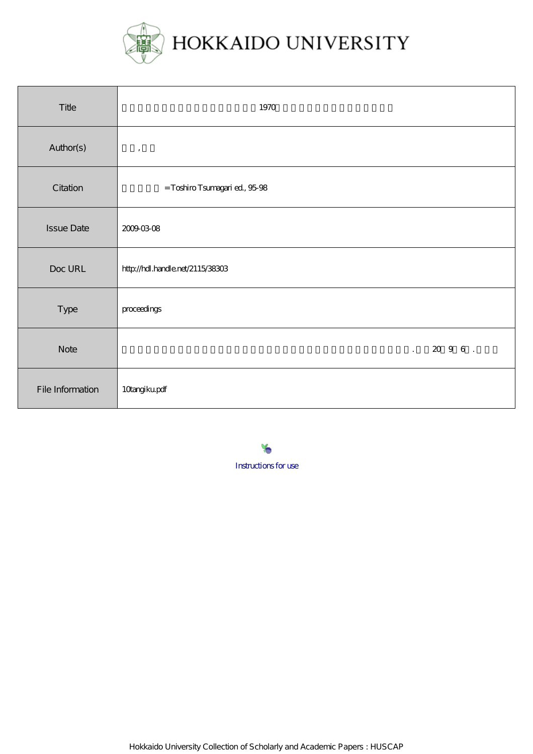

| Title             | 1970                             |
|-------------------|----------------------------------|
| Author(s)         | $^\mathrm{^\mathrm{o}}$          |
| Citation          | = Toshiro Tsumagari ed, 95-98    |
| <b>Issue Date</b> | 20090308                         |
| Doc URL           | http://hdl.handle.net/2115/38303 |
| Type              | proceedings                      |
| <b>Note</b>       | . 2096.                          |
| File Information  | 10angikupdf                      |

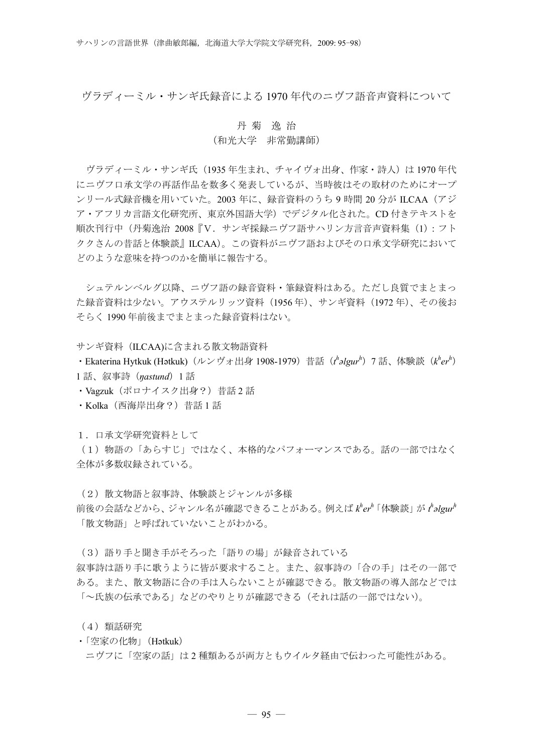ヴラディーミル・サンギ氏録音による 1970 年代のニヴフ語音声資料について

## 丹 菊 逸 治

## (和光大学 非常勤講師)

ヴラディーミル・サンギ氏(1935年生まれ、チャイヴォ出身、作家・詩人)は 1970 年代 にニヴフ口承文学の再話作品を数多く発表しているが、当時彼はその取材のためにオープ ンリール式録音機を用いていた。2003 年に、録音資料のうち 9 時間 20 分が ILCAA(アジ ア・アフリカ言語文化研究所、東京外国語大学)でデジタル化された。CD 付きテキストを 順次刊行中(丹菊逸治 2008『V. サンギ採録ニヴフ語サハリン方言音声資料集(1):フト ククさんの昔話と体験談』ILCAA)。この資料がニヴフ語およびその口承文学研究において どのような意味を持つのかを簡単に報告する。

シュテルンベルグ以降、ニヴフ語の録音資料・筆録資料はある。ただし良質でまとまっ た録音資料は少ない。アウステルリッツ資料(1956 年)、サンギ資料(1972 年)、その後お そらく 1990 年前後までまとまった録音資料はない。

サンギ資料(ILCAA)に含まれる散文物語資料

・Ekaterina Hytkuk (Hətkuk)(ルンヴォ出身 1908-1979)昔話( $t^h$ əlgur<sup>h</sup>)7 話、体験談( $k^h e r^h$ ) 1 話、叙事詩(*ŋastund*)1 話

· Vagzuk (ポロナイスク出身?) 昔話 2 話

・Kolka(西海岸出身?)昔話 1 話

1.口承文学研究資料として

(1)物語の「あらすじ」ではなく、本格的なパフォーマンスである。話の一部ではなく 全体が多数収録されている。

(2)散文物語と叙事詩、体験談とジャンルが多様

前後の会話などから、ジャンル名が確認できることがある。例えば *k h er <sup>h</sup>*「体験談」が *t h əlgur<sup>h</sup>* 「散文物語」と呼ばれていないことがわかる。

(3)語り手と聞き手がそろった「語りの場」が録音されている

叙事詩は語り手に歌うように皆が要求すること。また、叙事詩の「合の手」はその一部で ある。また、散文物語に合の手は入らないことが確認できる。散文物語の導入部などでは 「~氏族の伝承である」などのやりとりが確認できる(それは話の一部ではない)。

(4)類話研究

・「空家の化物」(Hətkuk)

ニヴフに「空家の話」は 2 種類あるが両方ともウイルタ経由で伝わった可能性がある。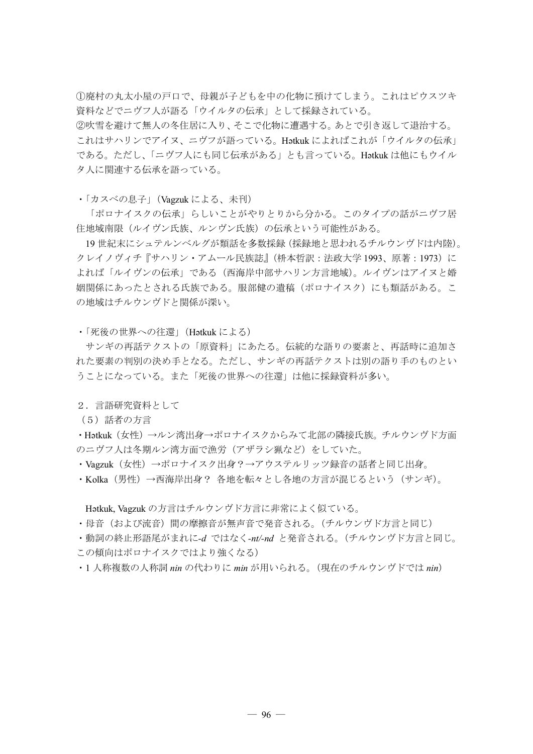①廃村の丸太小屋の戸口で、母親が子どもを中の化物に預けてしまう。これはピウスツキ 資料などでニヴフ人が語る「ウイルタの伝承」として採録されている。

②吹雪を避けて無人の冬住居に入り、そこで化物に遭遇する。あとで引き返して退治する。 これはサハリンでアイヌ、ニヴフが語っている。Hətkuk によればこれが「ウイルタの伝承」 である。ただし、「ニヴフ人にも同じ伝承がある」とも言っている。Hətkuk は他にもウイル タ人に関連する伝承を語っている。

・「カスベの息子」(Vagzuk による、未刊)

「ポロナイスクの伝承」らしいことがやりとりから分かる。このタイプの話がニヴフ居 住地域南限(ルイヴン氏族、ルンヴン氏族)の伝承という可能性がある。

19 世紀末にシュテルンベルグが類話を多数採録(採録地と思われるチルウンヴドは内陸)。 クレイノヴィチ『サハリン・アムール民族誌』(枡本哲訳:法政大学 1993、原著:1973)に よれば「ルイヴンの伝承」である(西海岸中部サハリン方言地域)。ルイヴンはアイヌと婚 姻関係にあったとされる氏族である。服部健の遺稿(ポロナイスク)にも類話がある。こ の地域はチルウンヴドと関係が深い。

・「死後の世界への往還」(Hətkuk による)

サンギの再話テクストの「原資料」にあたる。伝統的な語りの要素と、再話時に追加さ れた要素の判別の決め手となる。ただし、サンギの再話テクストは別の語り手のものとい うことになっている。また「死後の世界への往還」は他に採録資料が多い。

2.言語研究資料として

(5)話者の方言

・Hətkuk(女性)→ルン湾出身→ポロナイスクからみて北部の隣接氏族。チルウンヴド方面 のニヴフ人は冬期ルン湾方面で漁労(アザラシ猟など)をしていた。

・Vagzuk(女性)→ポロナイスク出身?→アウステルリッツ録音の話者と同じ出身。

・Kolka(男性)→西海岸出身? 各地を転々とし各地の方言が混じるという(サンギ)。

Hətkuk, Vagzuk の方言はチルウンヴド方言に非常によく似ている。

- ・母音(および流音)間の摩擦音が無声音で発音される。(チルウンヴド方言と同じ)
- ・動詞の終止形語尾がまれに*-d* ではなく*-nt/-nd* と発音される。(チルウンヴド方言と同じ。
- この傾向はポロナイスクではより強くなる)
- ・1 人称複数の人称詞 *nin* の代わりに *min* が用いられる。(現在のチルウンヴドでは *nin*)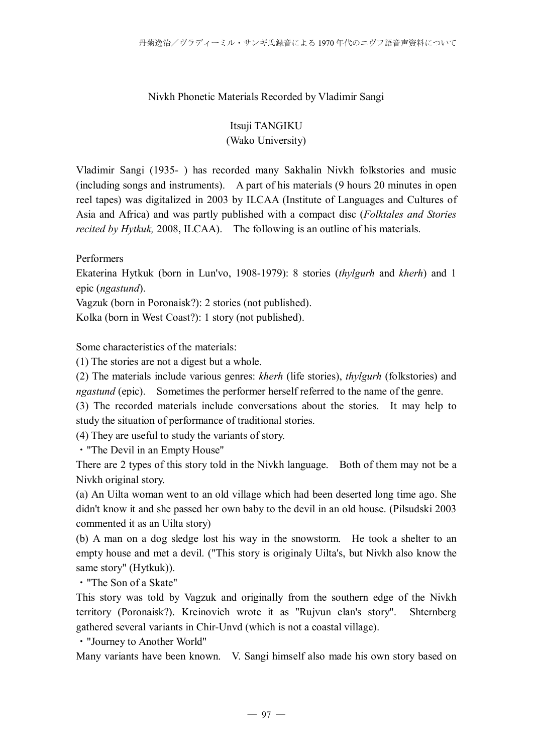## Nivkh Phonetic Materials Recorded by Vladimir Sangi

## Itsuji TANGIKU (Wako University)

Vladimir Sangi (1935- ) has recorded many Sakhalin Nivkh folkstories and music (including songs and instruments). A part of his materials (9 hours 20 minutes in open reel tapes) was digitalized in 2003 by ILCAA (Institute of Languages and Cultures of Asia and Africa) and was partly published with a compact disc (*Folktales and Stories recited by Hytkuk,* 2008, ILCAA). The following is an outline of his materials.

Performers

Ekaterina Hytkuk (born in Lun'vo, 1908-1979): 8 stories (*thylgurh* and *kherh*) and 1 epic (*ngastund*).

Vagzuk (born in Poronaisk?): 2 stories (not published).

Kolka (born in West Coast?): 1 story (not published).

Some characteristics of the materials:

(1) The stories are not a digest but a whole.

(2) The materials include various genres: *kherh* (life stories), *thylgurh* (folkstories) and *ngastund* (epic). Sometimes the performer herself referred to the name of the genre.

(3) The recorded materials include conversations about the stories. It may help to study the situation of performance of traditional stories.

(4) They are useful to study the variants of story.

・"The Devil in an Empty House"

There are 2 types of this story told in the Nivkh language. Both of them may not be a Nivkh original story.

(a) An Uilta woman went to an old village which had been deserted long time ago. She didn't know it and she passed her own baby to the devil in an old house. (Pilsudski 2003 commented it as an Uilta story)

(b) A man on a dog sledge lost his way in the snowstorm. He took a shelter to an empty house and met a devil. ("This story is originaly Uilta's, but Nivkh also know the same story" (Hytkuk)).

・"The Son of a Skate"

This story was told by Vagzuk and originally from the southern edge of the Nivkh territory (Poronaisk?). Kreinovich wrote it as "Rujvun clan's story". Shternberg gathered several variants in Chir-Unvd (which is not a coastal village).

・"Journey to Another World"

Many variants have been known. V. Sangi himself also made his own story based on